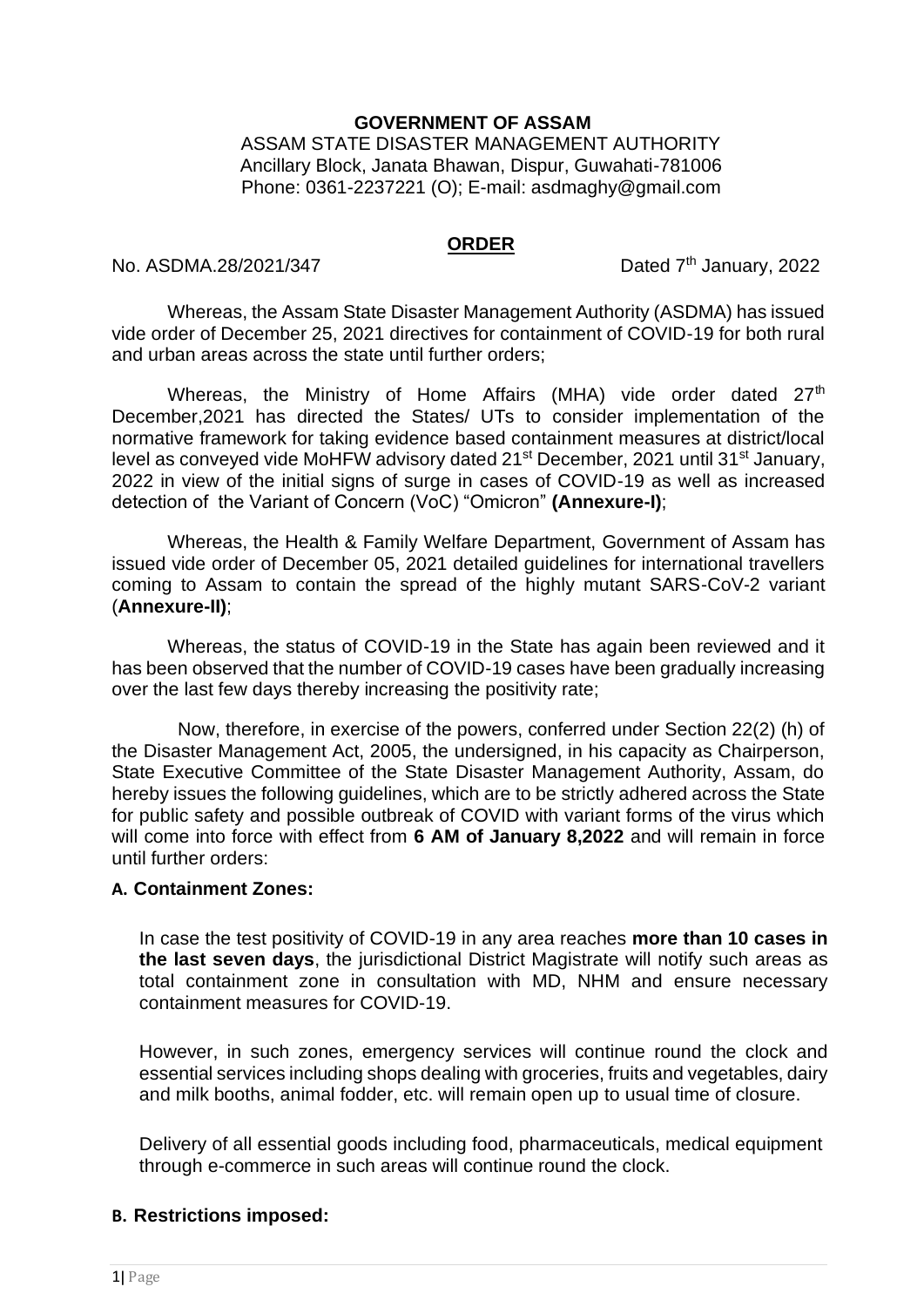## **GOVERNMENT OF ASSAM**

ASSAM STATE DISASTER MANAGEMENT AUTHORITY Ancillary Block, Janata Bhawan, Dispur, Guwahati-781006 Phone: 0361-2237221 (O); E-mail: asdmaghy@gmail.com

#### **ORDER**

No. ASDMA.28/2021/347 Dated  $7<sup>th</sup>$  January, 2022

Whereas, the Assam State Disaster Management Authority (ASDMA) has issued vide order of December 25, 2021 directives for containment of COVID-19 for both rural and urban areas across the state until further orders;

Whereas, the Ministry of Home Affairs (MHA) vide order dated 27<sup>th</sup> December,2021 has directed the States/ UTs to consider implementation of the normative framework for taking evidence based containment measures at district/local level as conveyed vide MoHFW advisory dated 21<sup>st</sup> December, 2021 until 31<sup>st</sup> January, 2022 in view of the initial signs of surge in cases of COVID-19 as well as increased detection of the Variant of Concern (VoC) "Omicron" **(Annexure-I)**;

Whereas, the Health & Family Welfare Department, Government of Assam has issued vide order of December 05, 2021 detailed guidelines for international travellers coming to Assam to contain the spread of the highly mutant SARS-CoV-2 variant (**Annexure-II)**;

Whereas, the status of COVID-19 in the State has again been reviewed and it has been observed that the number of COVID-19 cases have been gradually increasing over the last few days thereby increasing the positivity rate;

Now, therefore, in exercise of the powers, conferred under Section 22(2) (h) of the Disaster Management Act, 2005, the undersigned, in his capacity as Chairperson, State Executive Committee of the State Disaster Management Authority, Assam, do hereby issues the following guidelines, which are to be strictly adhered across the State for public safety and possible outbreak of COVID with variant forms of the virus which will come into force with effect from **6 AM of January 8,2022** and will remain in force until further orders:

# **A. Containment Zones:**

In case the test positivity of COVID-19 in any area reaches **more than 10 cases in the last seven days**, the jurisdictional District Magistrate will notify such areas as total containment zone in consultation with MD, NHM and ensure necessary containment measures for COVID-19.

However, in such zones, emergency services will continue round the clock and essential services including shops dealing with groceries, fruits and vegetables, dairy and milk booths, animal fodder, etc. will remain open up to usual time of closure.

Delivery of all essential goods including food, pharmaceuticals, medical equipment through e-commerce in such areas will continue round the clock.

# **B. Restrictions imposed:**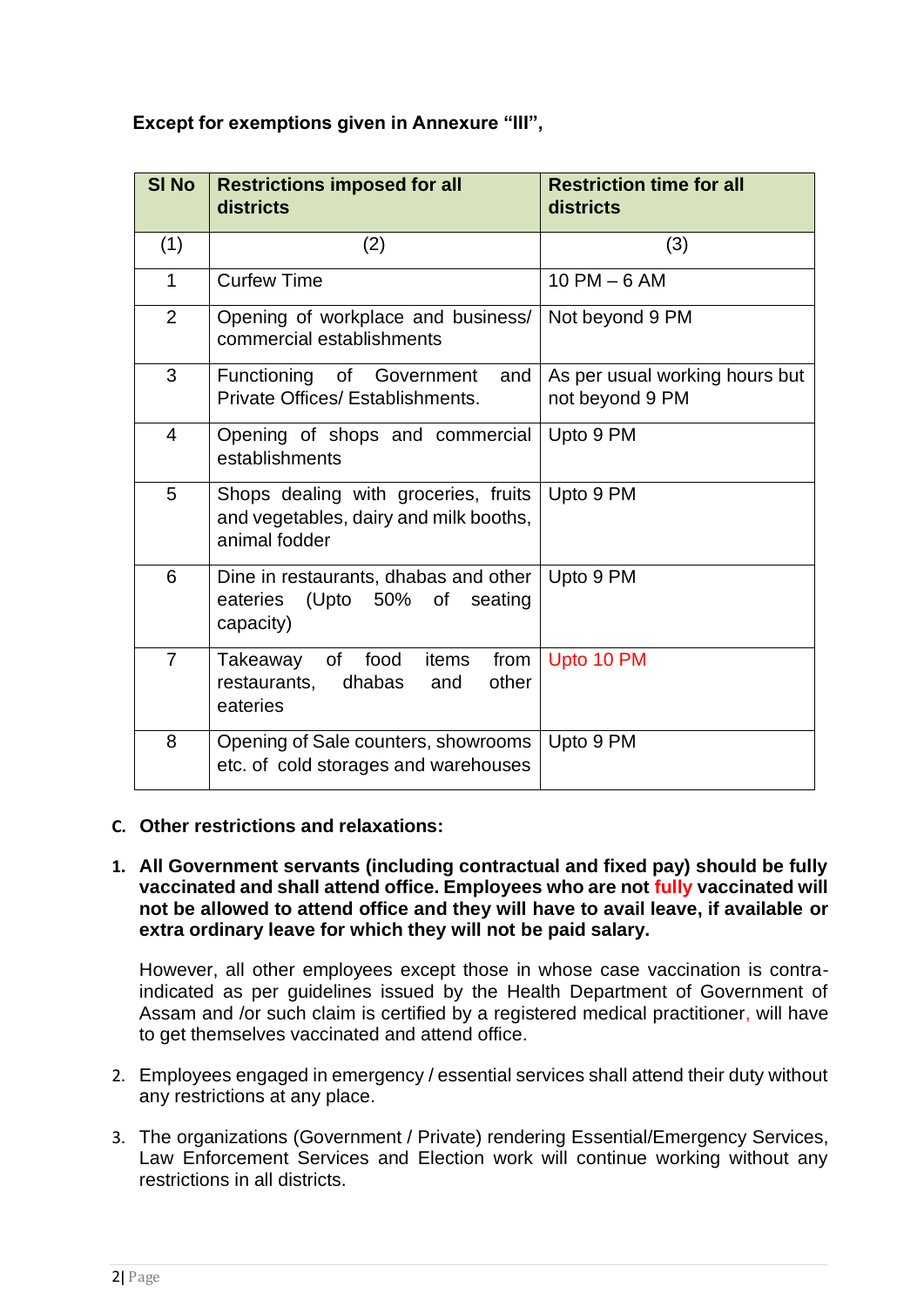# **Except for exemptions given in Annexure "III",**

| <b>SI No</b>   | <b>Restrictions imposed for all</b><br>districts                                                | <b>Restriction time for all</b><br>districts      |
|----------------|-------------------------------------------------------------------------------------------------|---------------------------------------------------|
| (1)            | (2)                                                                                             | (3)                                               |
| $\mathbf{1}$   | <b>Curfew Time</b>                                                                              | $10$ PM $-6$ AM                                   |
| $\overline{2}$ | Opening of workplace and business/<br>commercial establishments                                 | Not beyond 9 PM                                   |
| 3              | Functioning of Government<br>and<br>Private Offices/ Establishments.                            | As per usual working hours but<br>not beyond 9 PM |
| $\overline{4}$ | Opening of shops and commercial<br>establishments                                               | Upto 9 PM                                         |
| 5              | Shops dealing with groceries, fruits<br>and vegetables, dairy and milk booths,<br>animal fodder | Upto 9 PM                                         |
| 6              | Dine in restaurants, dhabas and other<br>(Upto 50%<br>eateries<br>0f<br>seating<br>capacity)    | Upto 9 PM                                         |
| $\overline{7}$ | food<br>items<br>from<br>Takeaway<br>of<br>dhabas<br>other<br>restaurants,<br>and<br>eateries   | Upto 10 PM                                        |
| 8              | Opening of Sale counters, showrooms<br>etc. of cold storages and warehouses                     | Upto 9 PM                                         |

# **C. Other restrictions and relaxations:**

## **1. All Government servants (including contractual and fixed pay) should be fully vaccinated and shall attend office. Employees who are not fully vaccinated will not be allowed to attend office and they will have to avail leave, if available or extra ordinary leave for which they will not be paid salary.**

However, all other employees except those in whose case vaccination is contraindicated as per guidelines issued by the Health Department of Government of Assam and /or such claim is certified by a registered medical practitioner, will have to get themselves vaccinated and attend office.

- 2. Employees engaged in emergency / essential services shall attend their duty without any restrictions at any place.
- 3. The organizations (Government / Private) rendering Essential/Emergency Services, Law Enforcement Services and Election work will continue working without any restrictions in all districts.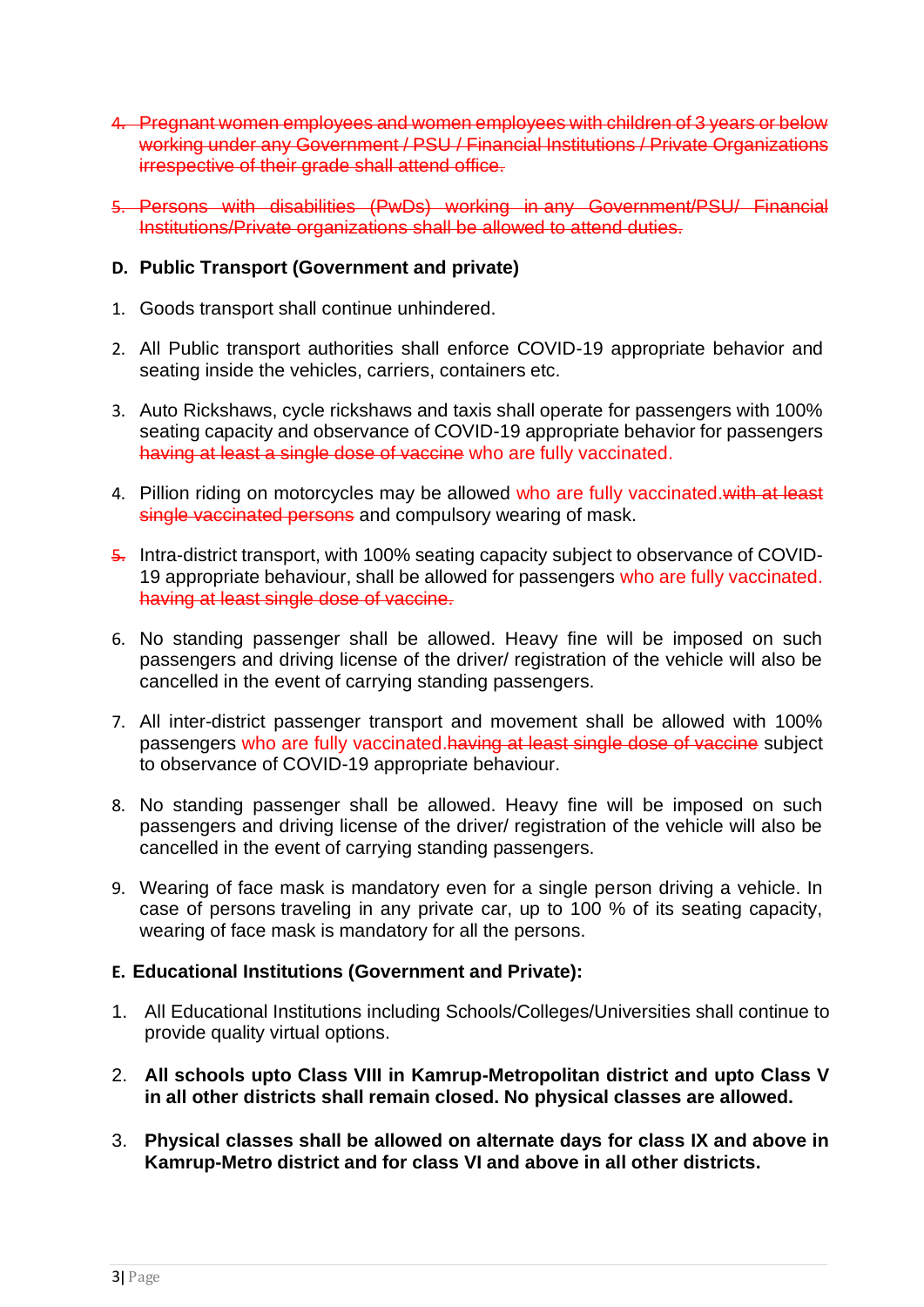- 4. Pregnant women employees and women employees with children of 3 years or below working under any Government / PSU / Financial Institutions / Private Organizations irrespective of their grade shall attend office.
- 5. Persons with disabilities (PwDs) working in any Government/PSU/ Financial Institutions/Private organizations shall be allowed to attend duties.

# **D. Public Transport (Government and private)**

- 1. Goods transport shall continue unhindered.
- 2. All Public transport authorities shall enforce COVID-19 appropriate behavior and seating inside the vehicles, carriers, containers etc.
- 3. Auto Rickshaws, cycle rickshaws and taxis shall operate for passengers with 100% seating capacity and observance of COVID-19 appropriate behavior for passengers having at least a single dose of vaccine who are fully vaccinated.
- 4. Pillion riding on motorcycles may be allowed who are fully vaccinated.with at least single vaccinated persons and compulsory wearing of mask.
- 5. Intra-district transport, with 100% seating capacity subject to observance of COVID-19 appropriate behaviour, shall be allowed for passengers who are fully vaccinated. having at least single dose of vaccine.
- 6. No standing passenger shall be allowed. Heavy fine will be imposed on such passengers and driving license of the driver/ registration of the vehicle will also be cancelled in the event of carrying standing passengers.
- 7. All inter-district passenger transport and movement shall be allowed with 100% passengers who are fully vaccinated.having at least single dose of vaccine subject to observance of COVID-19 appropriate behaviour.
- 8. No standing passenger shall be allowed. Heavy fine will be imposed on such passengers and driving license of the driver/ registration of the vehicle will also be cancelled in the event of carrying standing passengers.
- 9. Wearing of face mask is mandatory even for a single person driving a vehicle. In case of persons traveling in any private car, up to 100 % of its seating capacity, wearing of face mask is mandatory for all the persons.

# **E. Educational Institutions (Government and Private):**

- 1. All Educational Institutions including Schools/Colleges/Universities shall continue to provide quality virtual options.
- 2. **All schools upto Class VIII in Kamrup-Metropolitan district and upto Class V in all other districts shall remain closed. No physical classes are allowed.**
- 3. **Physical classes shall be allowed on alternate days for class IX and above in Kamrup-Metro district and for class VI and above in all other districts.**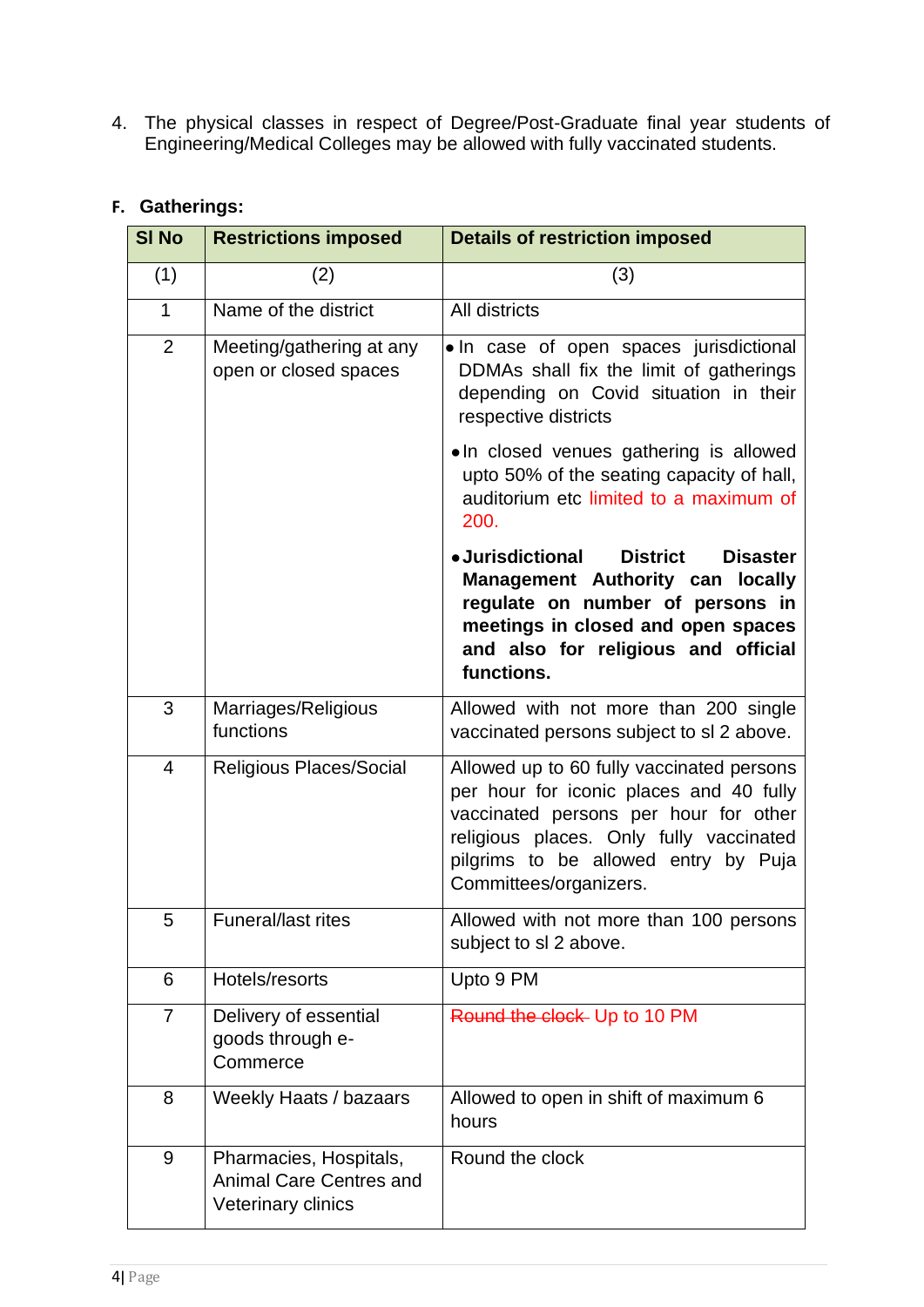4. The physical classes in respect of Degree/Post-Graduate final year students of Engineering/Medical Colleges may be allowed with fully vaccinated students.

| <b>SI No</b>   | <b>Restrictions imposed</b>                                                    | <b>Details of restriction imposed</b>                                                                                                                                                                                                      |
|----------------|--------------------------------------------------------------------------------|--------------------------------------------------------------------------------------------------------------------------------------------------------------------------------------------------------------------------------------------|
| (1)            | (2)                                                                            | (3)                                                                                                                                                                                                                                        |
| $\mathbf{1}$   | Name of the district                                                           | All districts                                                                                                                                                                                                                              |
| $\overline{2}$ | Meeting/gathering at any<br>open or closed spaces                              | . In case of open spaces jurisdictional<br>DDMAs shall fix the limit of gatherings<br>depending on Covid situation in their<br>respective districts                                                                                        |
|                |                                                                                | • In closed venues gathering is allowed<br>upto 50% of the seating capacity of hall,<br>auditorium etc limited to a maximum of<br>200.                                                                                                     |
|                |                                                                                | • Jurisdictional<br><b>District</b><br><b>Disaster</b><br><b>Management Authority can locally</b><br>regulate on number of persons in<br>meetings in closed and open spaces<br>and also for religious and official<br>functions.           |
| 3              | Marriages/Religious<br>functions                                               | Allowed with not more than 200 single<br>vaccinated persons subject to sl 2 above.                                                                                                                                                         |
| $\overline{4}$ | Religious Places/Social                                                        | Allowed up to 60 fully vaccinated persons<br>per hour for iconic places and 40 fully<br>vaccinated persons per hour for other<br>religious places. Only fully vaccinated<br>pilgrims to be allowed entry by Puja<br>Committees/organizers. |
| 5              | Funeral/last rites                                                             | Allowed with not more than 100 persons<br>subject to sl 2 above.                                                                                                                                                                           |
| 6              | Hotels/resorts                                                                 | Upto 9 PM                                                                                                                                                                                                                                  |
| 7              | Delivery of essential<br>goods through e-<br>Commerce                          | Round the clock- Up to 10 PM                                                                                                                                                                                                               |
| 8              | Weekly Haats / bazaars                                                         | Allowed to open in shift of maximum 6<br>hours                                                                                                                                                                                             |
| 9              | Pharmacies, Hospitals,<br>Animal Care Centres and<br><b>Veterinary clinics</b> | Round the clock                                                                                                                                                                                                                            |

# **F. Gatherings:**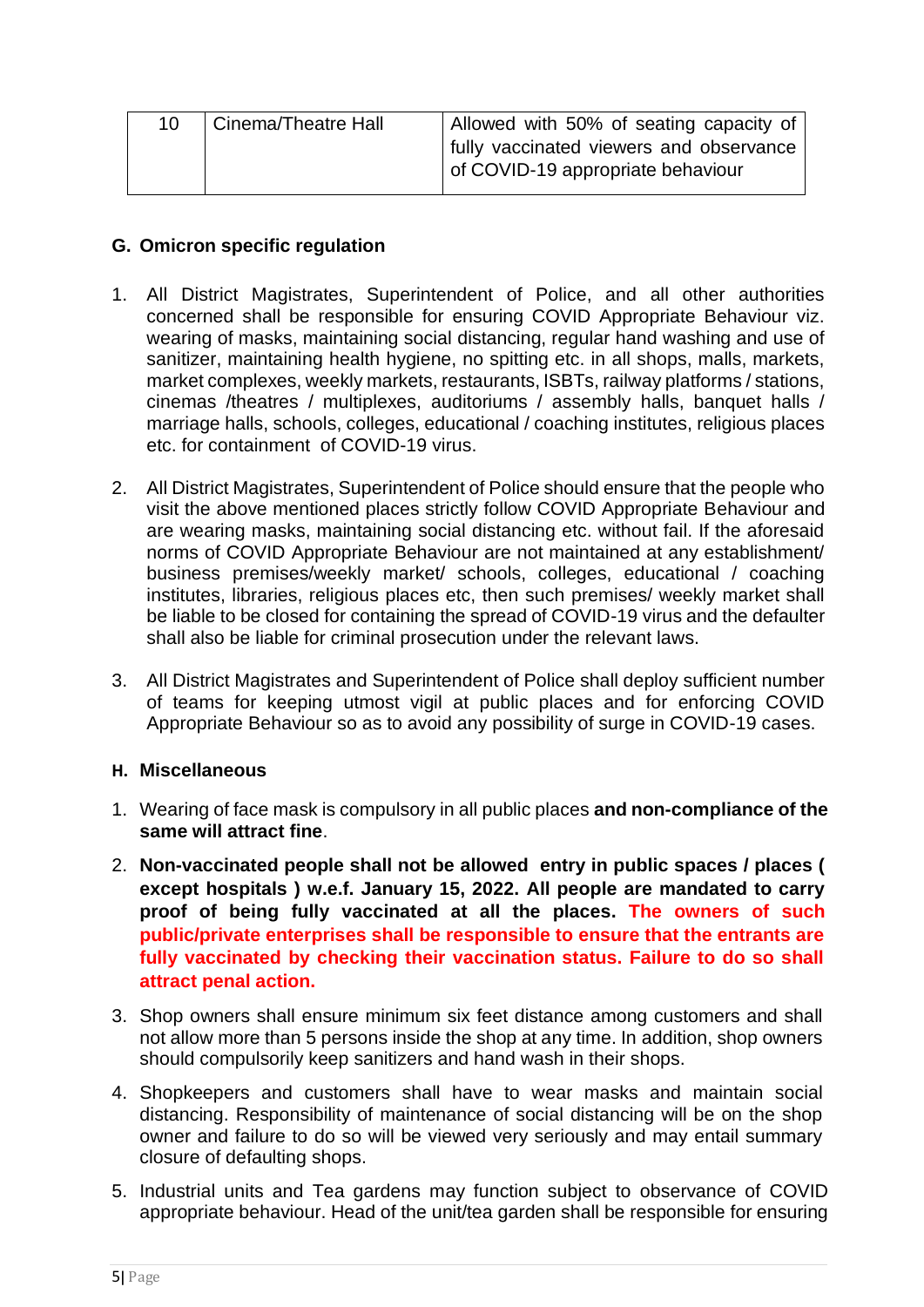| 10 | Cinema/Theatre Hall | Allowed with 50% of seating capacity of |
|----|---------------------|-----------------------------------------|
|    |                     | fully vaccinated viewers and observance |
|    |                     | of COVID-19 appropriate behaviour       |
|    |                     |                                         |

# **G. Omicron specific regulation**

- 1. All District Magistrates, Superintendent of Police, and all other authorities concerned shall be responsible for ensuring COVID Appropriate Behaviour viz. wearing of masks, maintaining social distancing, regular hand washing and use of sanitizer, maintaining health hygiene, no spitting etc. in all shops, malls, markets, market complexes, weekly markets, restaurants, ISBTs, railway platforms / stations, cinemas /theatres / multiplexes, auditoriums / assembly halls, banquet halls / marriage halls, schools, colleges, educational / coaching institutes, religious places etc. for containment of COVID-19 virus.
- 2. All District Magistrates, Superintendent of Police should ensure that the people who visit the above mentioned places strictly follow COVID Appropriate Behaviour and are wearing masks, maintaining social distancing etc. without fail. If the aforesaid norms of COVID Appropriate Behaviour are not maintained at any establishment/ business premises/weekly market/ schools, colleges, educational / coaching institutes, libraries, religious places etc, then such premises/ weekly market shall be liable to be closed for containing the spread of COVID-19 virus and the defaulter shall also be liable for criminal prosecution under the relevant laws.
- 3. All District Magistrates and Superintendent of Police shall deploy sufficient number of teams for keeping utmost vigil at public places and for enforcing COVID Appropriate Behaviour so as to avoid any possibility of surge in COVID-19 cases.

# **H. Miscellaneous**

- 1. Wearing of face mask is compulsory in all public places **and non-compliance of the same will attract fine**.
- 2. **Non-vaccinated people shall not be allowed entry in public spaces / places ( except hospitals ) w.e.f. January 15, 2022. All people are mandated to carry proof of being fully vaccinated at all the places. The owners of such public/private enterprises shall be responsible to ensure that the entrants are fully vaccinated by checking their vaccination status. Failure to do so shall attract penal action.**
- 3. Shop owners shall ensure minimum six feet distance among customers and shall not allow more than 5 persons inside the shop at any time. In addition, shop owners should compulsorily keep sanitizers and hand wash in their shops.
- 4. Shopkeepers and customers shall have to wear masks and maintain social distancing. Responsibility of maintenance of social distancing will be on the shop owner and failure to do so will be viewed very seriously and may entail summary closure of defaulting shops.
- 5. Industrial units and Tea gardens may function subject to observance of COVID appropriate behaviour. Head of the unit/tea garden shall be responsible for ensuring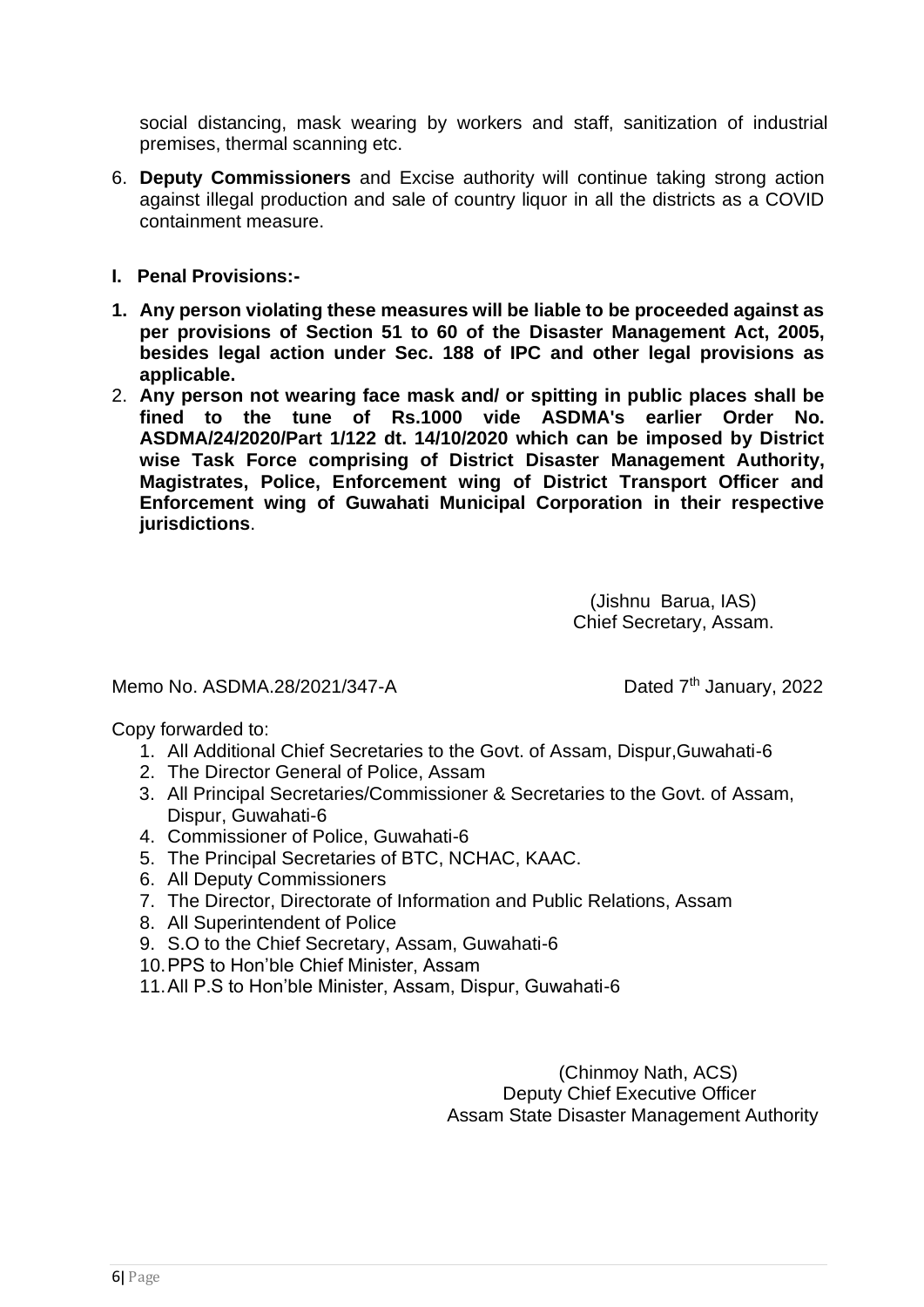social distancing, mask wearing by workers and staff, sanitization of industrial premises, thermal scanning etc.

- 6. **Deputy Commissioners** and Excise authority will continue taking strong action against illegal production and sale of country liquor in all the districts as a COVID containment measure.
- **I. Penal Provisions:-**
- **1. Any person violating these measures will be liable to be proceeded against as per provisions of Section 51 to 60 of the Disaster Management Act, 2005, besides legal action under Sec. 188 of IPC and other legal provisions as applicable.**
- 2. **Any person not wearing face mask and/ or spitting in public places shall be fined to the tune of Rs.1000 vide ASDMA's earlier Order No. ASDMA/24/2020/Part 1/122 dt. 14/10/2020 which can be imposed by District wise Task Force comprising of District Disaster Management Authority, Magistrates, Police, Enforcement wing of District Transport Officer and Enforcement wing of Guwahati Municipal Corporation in their respective jurisdictions**.

(Jishnu Barua, IAS) Chief Secretary, Assam.

Memo No. ASDMA.28/2021/347-A Dated  $7<sup>th</sup>$  January, 2022

Copy forwarded to:

- 1. All Additional Chief Secretaries to the Govt. of Assam, Dispur,Guwahati-6
- 2. The Director General of Police, Assam
- 3. All Principal Secretaries/Commissioner & Secretaries to the Govt. of Assam, Dispur, Guwahati-6
- 4. Commissioner of Police, Guwahati-6
- 5. The Principal Secretaries of BTC, NCHAC, KAAC.
- 6. All Deputy Commissioners
- 7. The Director, Directorate of Information and Public Relations, Assam
- 8. All Superintendent of Police
- 9. S.O to the Chief Secretary, Assam, Guwahati-6
- 10.PPS to Hon'ble Chief Minister, Assam
- 11.All P.S to Hon'ble Minister, Assam, Dispur, Guwahati-6

(Chinmoy Nath, ACS) Deputy Chief Executive Officer Assam State Disaster Management Authority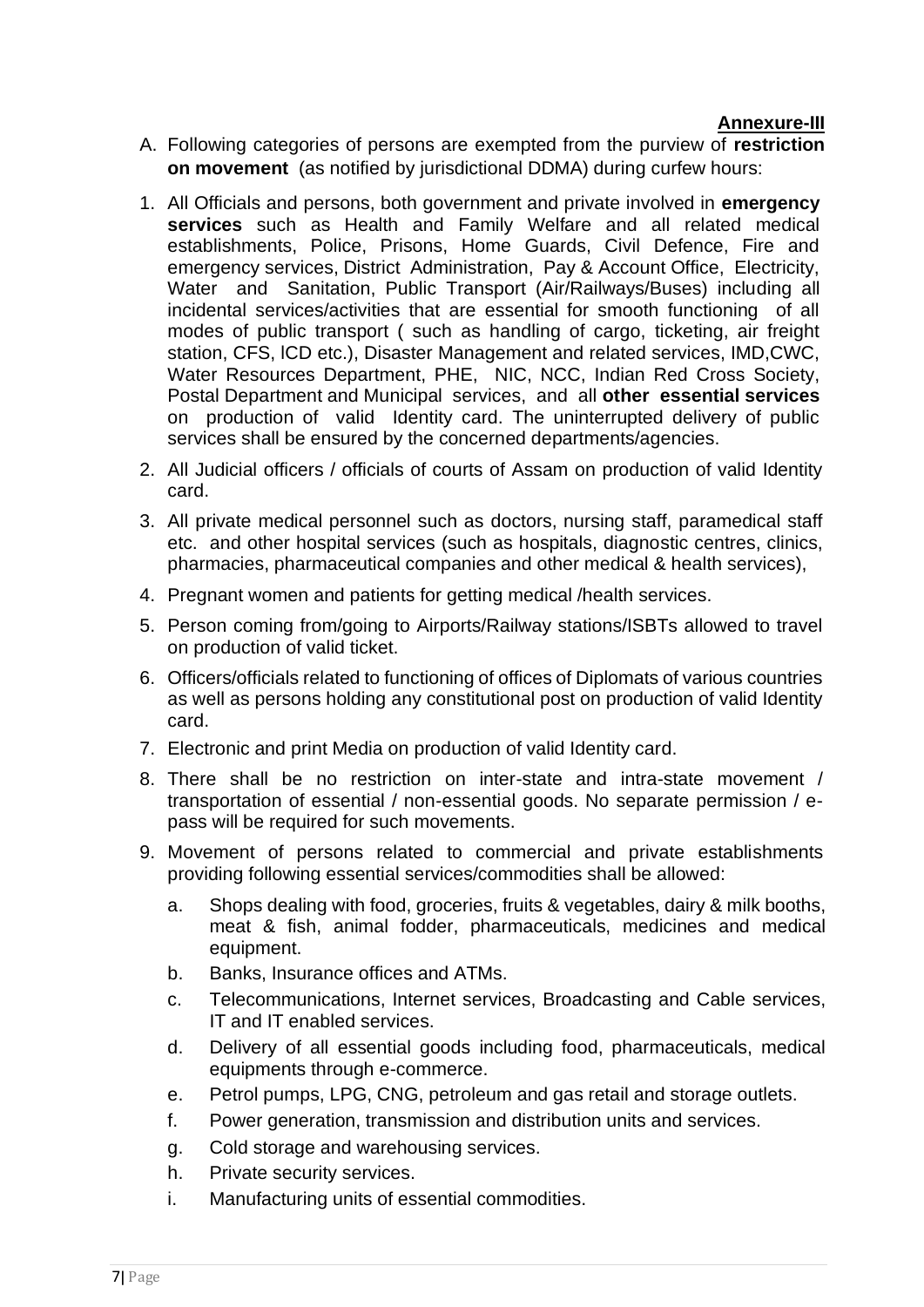## **Annexure-III**

- A. Following categories of persons are exempted from the purview of **restriction on movement** (as notified by jurisdictional DDMA) during curfew hours:
- 1. All Officials and persons, both government and private involved in **emergency services** such as Health and Family Welfare and all related medical establishments, Police, Prisons, Home Guards, Civil Defence, Fire and emergency services, District Administration, Pay & Account Office, Electricity, Water and Sanitation, Public Transport (Air/Railways/Buses) including all incidental services/activities that are essential for smooth functioning of all modes of public transport ( such as handling of cargo, ticketing, air freight station, CFS, lCD etc.), Disaster Management and related services, IMD,CWC, Water Resources Department, PHE, NIC, NCC, Indian Red Cross Society, Postal Department and Municipal services, and all **other essential services** on production of valid Identity card. The uninterrupted delivery of public services shall be ensured by the concerned departments/agencies.
- 2. All Judicial officers / officials of courts of Assam on production of valid Identity card.
- 3. All private medical personnel such as doctors, nursing staff, paramedical staff etc. and other hospital services (such as hospitals, diagnostic centres, clinics, pharmacies, pharmaceutical companies and other medical & health services),
- 4. Pregnant women and patients for getting medical /health services.
- 5. Person coming from/going to Airports/Railway stations/ISBTs allowed to travel on production of valid ticket.
- 6. Officers/officials related to functioning of offices of Diplomats of various countries as well as persons holding any constitutional post on production of valid Identity card.
- 7. Electronic and print Media on production of valid Identity card.
- 8. There shall be no restriction on inter-state and intra-state movement / transportation of essential / non-essential goods. No separate permission / epass will be required for such movements.
- 9. Movement of persons related to commercial and private establishments providing following essential services/commodities shall be allowed:
	- a. Shops dealing with food, groceries, fruits & vegetables, dairy & milk booths, meat & fish, animal fodder, pharmaceuticals, medicines and medical equipment.
	- b. Banks, Insurance offices and ATMs.
	- c. Telecommunications, Internet services, Broadcasting and Cable services, IT and IT enabled services.
	- d. Delivery of all essential goods including food, pharmaceuticals, medical equipments through e-commerce.
	- e. Petrol pumps, LPG, CNG, petroleum and gas retail and storage outlets.
	- f. Power generation, transmission and distribution units and services.
	- g. Cold storage and warehousing services.
	- h. Private security services.
	- i. Manufacturing units of essential commodities.